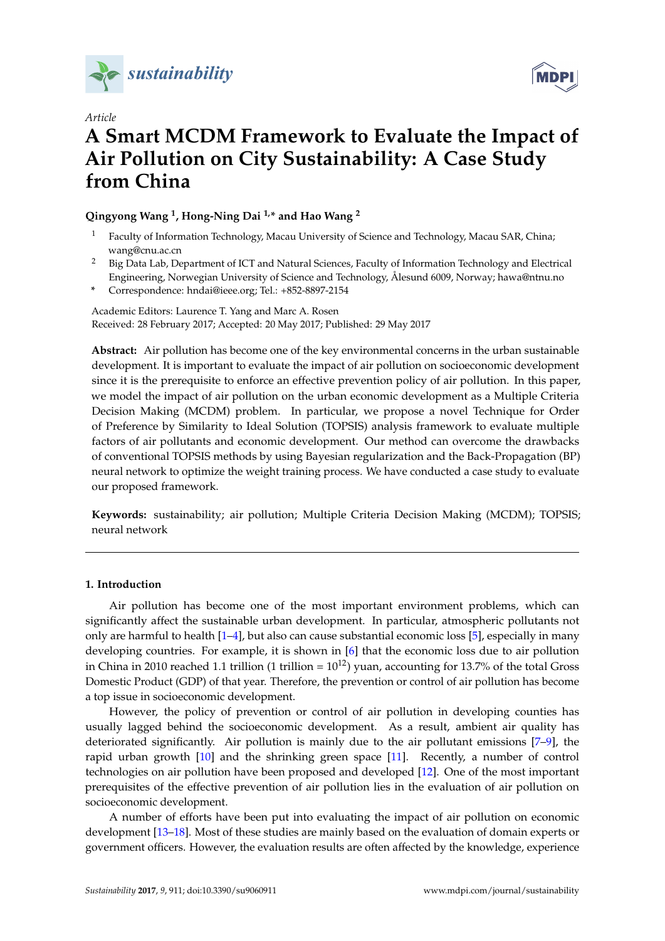

*Article*



# **A Smart MCDM Framework to Evaluate the Impact of Air Pollution on City Sustainability: A Case Study from China**

## **Qingyong Wang <sup>1</sup> , Hong-Ning Dai 1,\* and Hao Wang <sup>2</sup>**

- <sup>1</sup> Faculty of Information Technology, Macau University of Science and Technology, Macau SAR, China; wang@cnu.ac.cn
- <sup>2</sup> Big Data Lab, Department of ICT and Natural Sciences, Faculty of Information Technology and Electrical Engineering, Norwegian University of Science and Technology, Ålesund 6009, Norway; hawa@ntnu.no
- **\*** Correspondence: hndai@ieee.org; Tel.: +852-8897-2154

Academic Editors: Laurence T. Yang and Marc A. Rosen Received: 28 February 2017; Accepted: 20 May 2017; Published: 29 May 2017

**Abstract:** Air pollution has become one of the key environmental concerns in the urban sustainable development. It is important to evaluate the impact of air pollution on socioeconomic development since it is the prerequisite to enforce an effective prevention policy of air pollution. In this paper, we model the impact of air pollution on the urban economic development as a Multiple Criteria Decision Making (MCDM) problem. In particular, we propose a novel Technique for Order of Preference by Similarity to Ideal Solution (TOPSIS) analysis framework to evaluate multiple factors of air pollutants and economic development. Our method can overcome the drawbacks of conventional TOPSIS methods by using Bayesian regularization and the Back-Propagation (BP) neural network to optimize the weight training process. We have conducted a case study to evaluate our proposed framework.

**Keywords:** sustainability; air pollution; Multiple Criteria Decision Making (MCDM); TOPSIS; neural network

## **1. Introduction**

Air pollution has become one of the most important environment problems, which can significantly affect the sustainable urban development. In particular, atmospheric pollutants not only are harmful to health [\[1](#page-14-0)[–4\]](#page-14-1), but also can cause substantial economic loss [\[5\]](#page-14-2), especially in many developing countries. For example, it is shown in [\[6\]](#page-14-3) that the economic loss due to air pollution in China in 2010 reached 1.1 trillion (1 trillion =  $10^{12}$ ) yuan, accounting for 13.7% of the total Gross Domestic Product (GDP) of that year. Therefore, the prevention or control of air pollution has become a top issue in socioeconomic development.

However, the policy of prevention or control of air pollution in developing counties has usually lagged behind the socioeconomic development. As a result, ambient air quality has deteriorated significantly. Air pollution is mainly due to the air pollutant emissions [\[7](#page-14-4)[–9\]](#page-15-0), the rapid urban growth [\[10\]](#page-15-1) and the shrinking green space [\[11\]](#page-15-2). Recently, a number of control technologies on air pollution have been proposed and developed [\[12\]](#page-15-3). One of the most important prerequisites of the effective prevention of air pollution lies in the evaluation of air pollution on socioeconomic development.

A number of efforts have been put into evaluating the impact of air pollution on economic development [\[13–](#page-15-4)[18\]](#page-15-5). Most of these studies are mainly based on the evaluation of domain experts or government officers. However, the evaluation results are often affected by the knowledge, experience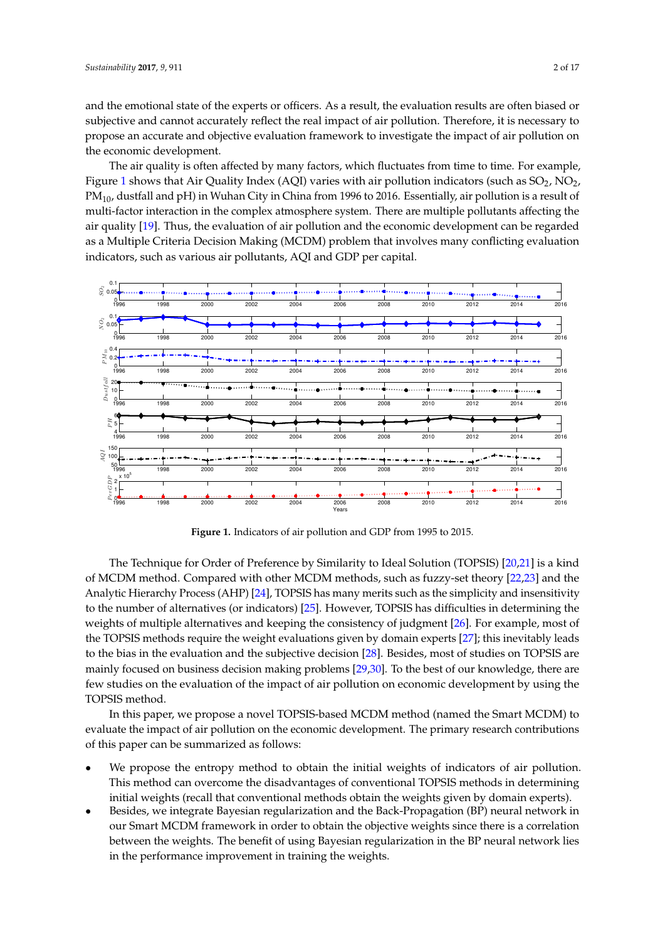and the emotional state of the experts or officers. As a result, the evaluation results are often biased or subjective and cannot accurately reflect the real impact of air pollution. Therefore, it is necessary to propose an accurate and objective evaluation framework to investigate the impact of air pollution on the economic development.

The air quality is often affected by many factors, which fluctuates from time to time. For example, Figure [1](#page-1-0) shows that Air Quality Index (AQI) varies with air pollution indicators (such as  $SO_2$ ,  $NO_2$ ,  $PM_{10}$ , dustfall and pH) in Wuhan City in China from 1996 to 2016. Essentially, air pollution is a result of multi-factor interaction in the complex atmosphere system. There are multiple pollutants affecting the air quality [\[19\]](#page-15-6). Thus, the evaluation of air pollution and the economic development can be regarded as a Multiple Criteria Decision Making (MCDM) problem that involves many conflicting evaluation indicators, such as various air pollutants, AQI and GDP per capital.

<span id="page-1-0"></span>

**Figure 1.** Indicators of air pollution and GDP from 1995 to 2015.

The Technique for Order of Preference by Similarity to Ideal Solution (TOPSIS) [\[20,](#page-15-7)[21\]](#page-15-8) is a kind of MCDM method. Compared with other MCDM methods, such as fuzzy-set theory [\[22](#page-15-9)[,23\]](#page-15-10) and the Analytic Hierarchy Process (AHP) [\[24\]](#page-15-11), TOPSIS has many merits such as the simplicity and insensitivity to the number of alternatives (or indicators) [\[25\]](#page-15-12). However, TOPSIS has difficulties in determining the weights of multiple alternatives and keeping the consistency of judgment [\[26\]](#page-15-13). For example, most of the TOPSIS methods require the weight evaluations given by domain experts [\[27\]](#page-15-14); this inevitably leads to the bias in the evaluation and the subjective decision [\[28\]](#page-15-15). Besides, most of studies on TOPSIS are mainly focused on business decision making problems [\[29](#page-15-16)[,30\]](#page-15-17). To the best of our knowledge, there are few studies on the evaluation of the impact of air pollution on economic development by using the TOPSIS method.

In this paper, we propose a novel TOPSIS-based MCDM method (named the Smart MCDM) to evaluate the impact of air pollution on the economic development. The primary research contributions of this paper can be summarized as follows:

- We propose the entropy method to obtain the initial weights of indicators of air pollution. This method can overcome the disadvantages of conventional TOPSIS methods in determining initial weights (recall that conventional methods obtain the weights given by domain experts).
- Besides, we integrate Bayesian regularization and the Back-Propagation (BP) neural network in our Smart MCDM framework in order to obtain the objective weights since there is a correlation between the weights. The benefit of using Bayesian regularization in the BP neural network lies in the performance improvement in training the weights.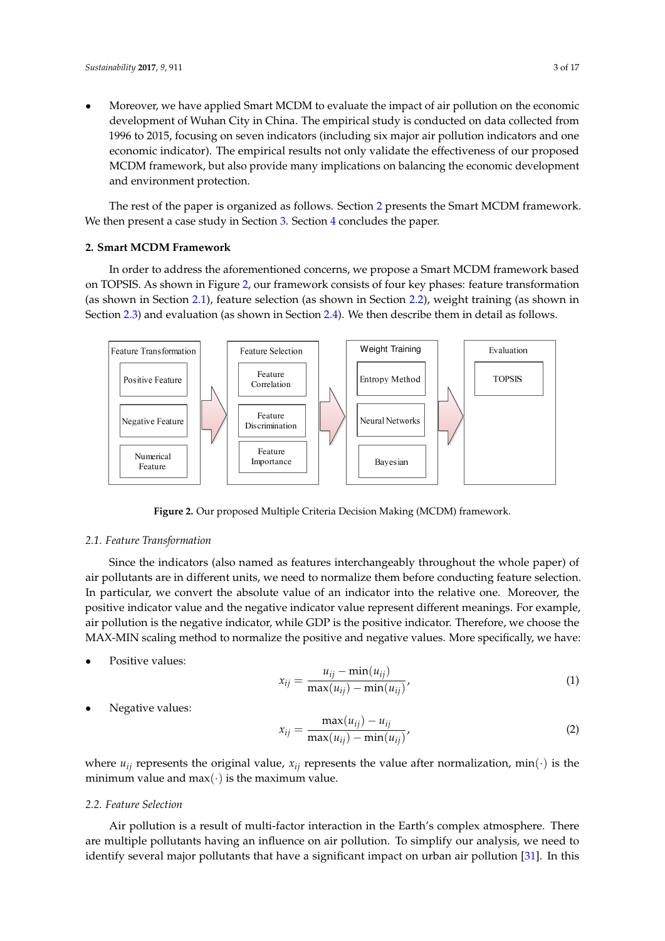• Moreover, we have applied Smart MCDM to evaluate the impact of air pollution on the economic development of Wuhan City in China. The empirical study is conducted on data collected from 1996 to 2015, focusing on seven indicators (including six major air pollution indicators and one economic indicator). The empirical results not only validate the effectiveness of our proposed MCDM framework, but also provide many implications on balancing the economic development and environment protection.

The rest of the paper is organized as follows. Section [2](#page-2-0) presents the Smart MCDM framework. We then present a case study in Section [3.](#page-7-0) Section [4](#page-14-5) concludes the paper.

#### <span id="page-2-0"></span>**2. Smart MCDM Framework**

In order to address the aforementioned concerns, we propose a Smart MCDM framework based on TOPSIS. As shown in Figure [2,](#page-2-1) our framework consists of four key phases: feature transformation (as shown in Section [2.1\)](#page-2-2), feature selection (as shown in Section [2.2\)](#page-2-3), weight training (as shown in Section [2.3\)](#page-3-0) and evaluation (as shown in Section [2.4\)](#page-7-1). We then describe them in detail as follows.

<span id="page-2-1"></span>

**Figure 2.** Our proposed Multiple Criteria Decision Making (MCDM) framework.

#### <span id="page-2-2"></span>*2.1. Feature Transformation*

Since the indicators (also named as features interchangeably throughout the whole paper) of air pollutants are in different units, we need to normalize them before conducting feature selection. In particular, we convert the absolute value of an indicator into the relative one. Moreover, the positive indicator value and the negative indicator value represent different meanings. For example, air pollution is the negative indicator, while GDP is the positive indicator. Therefore, we choose the MAX-MIN scaling method to normalize the positive and negative values. More specifically, we have:

Positive values:

<span id="page-2-4"></span>
$$
x_{ij} = \frac{u_{ij} - \min(u_{ij})}{\max(u_{ij}) - \min(u_{ij})},
$$
\n<sup>(1)</sup>

Negative values:

<span id="page-2-5"></span>
$$
x_{ij} = \frac{\max(u_{ij}) - u_{ij}}{\max(u_{ij}) - \min(u_{ij})'},
$$
\n(2)

where  $u_{ij}$  represents the original value,  $x_{ij}$  represents the value after normalization, min(·) is the minimum value and  $max(\cdot)$  is the maximum value.

#### <span id="page-2-3"></span>*2.2. Feature Selection*

Air pollution is a result of multi-factor interaction in the Earth's complex atmosphere. There are multiple pollutants having an influence on air pollution. To simplify our analysis, we need to identify several major pollutants that have a significant impact on urban air pollution [\[31\]](#page-15-18). In this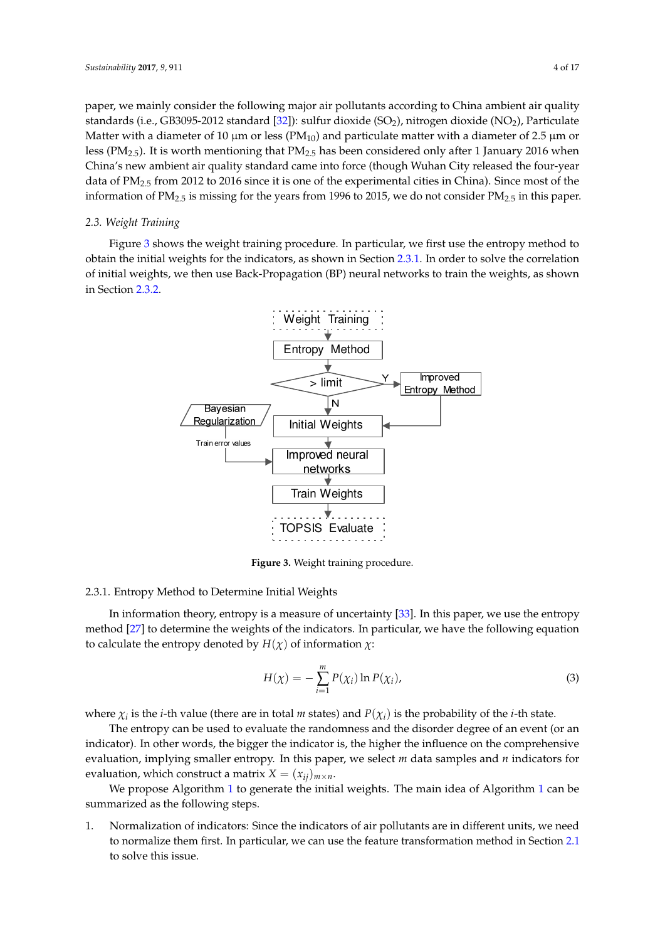paper, we mainly consider the following major air pollutants according to China ambient air quality standards (i.e., GB3095-2012 standard [\[32\]](#page-15-19)): sulfur dioxide (SO<sub>2</sub>), nitrogen dioxide (NO<sub>2</sub>), Particulate Matter with a diameter of 10  $\mu$ m or less (PM<sub>10</sub>) and particulate matter with a diameter of 2.5  $\mu$ m or less ( $PM_{2.5}$ ). It is worth mentioning that  $PM_{2.5}$  has been considered only after 1 January 2016 when China's new ambient air quality standard came into force (though Wuhan City released the four-year data of PM2.5 from 2012 to 2016 since it is one of the experimental cities in China). Since most of the information of  $PM_{2.5}$  is missing for the years from 1996 to 2015, we do not consider  $PM_{2.5}$  in this paper.

#### <span id="page-3-0"></span>*2.3. Weight Training*

<span id="page-3-1"></span>Figure [3](#page-3-1) shows the weight training procedure. In particular, we first use the entropy method to obtain the initial weights for the indicators, as shown in Section [2.3.1.](#page-3-2) In order to solve the correlation of initial weights, we then use Back-Propagation (BP) neural networks to train the weights, as shown in Section [2.3.2.](#page-4-0)



**Figure 3.** Weight training procedure.

#### <span id="page-3-2"></span>2.3.1. Entropy Method to Determine Initial Weights

In information theory, entropy is a measure of uncertainty [\[33\]](#page-15-20). In this paper, we use the entropy method [\[27\]](#page-15-14) to determine the weights of the indicators. In particular, we have the following equation to calculate the entropy denoted by *H*(*χ*) of information *χ*:

$$
H(\chi) = -\sum_{i=1}^{m} P(\chi_i) \ln P(\chi_i), \qquad (3)
$$

where  $\chi_i$  is the *i*-th value (there are in total *m* states) and  $P(\chi_i)$  is the probability of the *i*-th state.

The entropy can be used to evaluate the randomness and the disorder degree of an event (or an indicator). In other words, the bigger the indicator is, the higher the influence on the comprehensive evaluation, implying smaller entropy. In this paper, we select *m* data samples and *n* indicators for evaluation, which construct a matrix  $X = (x_{ij})_{m \times n}$ .

We propose Algorithm [1](#page-4-1) to generate the initial weights. The main idea of Algorithm 1 can be summarized as the following steps.

1. Normalization of indicators: Since the indicators of air pollutants are in different units, we need to normalize them first. In particular, we can use the feature transformation method in Section [2.1](#page-2-2) to solve this issue.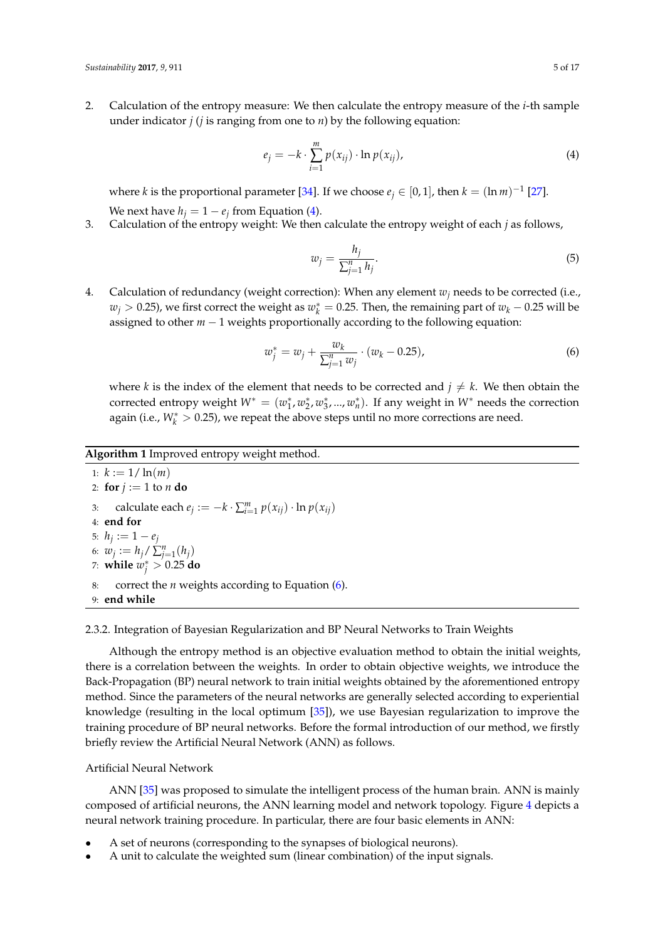2. Calculation of the entropy measure: We then calculate the entropy measure of the *i*-th sample under indicator *j* (*j* is ranging from one to *n*) by the following equation:

<span id="page-4-2"></span>
$$
e_j = -k \cdot \sum_{i=1}^{m} p(x_{ij}) \cdot \ln p(x_{ij}), \qquad (4)
$$

where *k* is the proportional parameter [\[34\]](#page-15-21). If we choose  $e_j \in [0,1]$ , then  $k = (\ln m)^{-1}$  [\[27\]](#page-15-14). We next have  $h_j = 1 - e_j$  from Equation [\(4\)](#page-4-2).

3. Calculation of the entropy weight: We then calculate the entropy weight of each *j* as follows,

<span id="page-4-4"></span>
$$
w_j = \frac{h_j}{\sum_{j=1}^n h_j}.\tag{5}
$$

4. Calculation of redundancy (weight correction): When any element *w<sup>j</sup>* needs to be corrected (i.e.,  $w_j > 0.25$ ), we first correct the weight as  $w_k^* = 0.25$ . Then, the remaining part of  $w_k - 0.25$  will be assigned to other *m* − 1 weights proportionally according to the following equation:

<span id="page-4-3"></span>
$$
w_j^* = w_j + \frac{w_k}{\sum_{j=1}^n w_j} \cdot (w_k - 0.25), \tag{6}
$$

where *k* is the index of the element that needs to be corrected and  $j \neq k$ . We then obtain the corrected entropy weight  $W^* = (w_1^*, w_2^*, w_3^*, ..., w_n^*)$ . If any weight in  $W^*$  needs the correction again (i.e.,  $W_k^* > 0.25$ ), we repeat the above steps until no more corrections are need.

### <span id="page-4-1"></span>**Algorithm 1** Improved entropy weight method.

1:  $k := 1/\ln(m)$ 2: **for**  $j := 1$  to  $n$  **do** 3: calculate each  $e_j := -k \cdot \sum_{i=1}^m p(x_{ij}) \cdot \ln p(x_{ij})$ 4: **end for** 5:  $h_j := 1 - e_j$ 6:  $w_j := h_j / \sum_{j=1}^n (h_j)$ 7: **while**  $w_j^* > 0.25$  do 8: correct the *n* weights according to Equation [\(6\)](#page-4-3). 9: **end while**

#### <span id="page-4-0"></span>2.3.2. Integration of Bayesian Regularization and BP Neural Networks to Train Weights

Although the entropy method is an objective evaluation method to obtain the initial weights, there is a correlation between the weights. In order to obtain objective weights, we introduce the Back-Propagation (BP) neural network to train initial weights obtained by the aforementioned entropy method. Since the parameters of the neural networks are generally selected according to experiential knowledge (resulting in the local optimum [\[35\]](#page-15-22)), we use Bayesian regularization to improve the training procedure of BP neural networks. Before the formal introduction of our method, we firstly briefly review the Artificial Neural Network (ANN) as follows.

#### Artificial Neural Network

ANN [\[35\]](#page-15-22) was proposed to simulate the intelligent process of the human brain. ANN is mainly composed of artificial neurons, the ANN learning model and network topology. Figure [4](#page-5-0) depicts a neural network training procedure. In particular, there are four basic elements in ANN:

- A set of neurons (corresponding to the synapses of biological neurons).
- A unit to calculate the weighted sum (linear combination) of the input signals.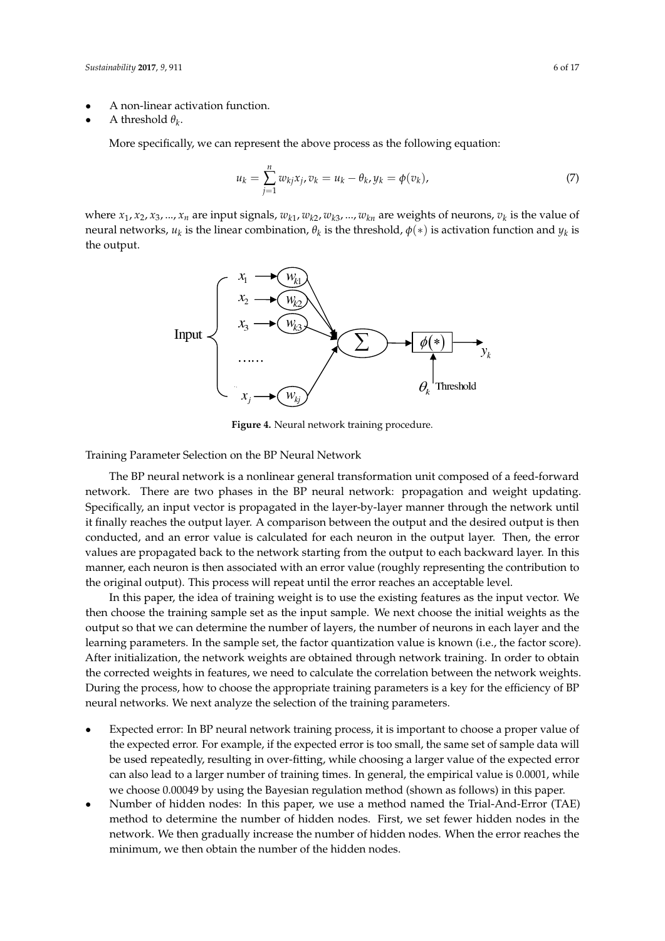- A non-linear activation function.
- A threshold  $\theta_k$ .

More specifically, we can represent the above process as the following equation:

$$
u_k = \sum_{j=1}^n w_{kj} x_j, v_k = u_k - \theta_k, y_k = \phi(v_k),
$$
\n(7)

<span id="page-5-0"></span>where  $x_1, x_2, x_3, ..., x_n$  are input signals,  $w_{k1}, w_{k2}, w_{k3}, ..., w_{kn}$  are weights of neurons,  $v_k$  is the value of neural networks,  $u_k$  is the linear combination,  $\theta_k$  is the threshold,  $\phi(*)$  is activation function and  $y_k$  is the output.



**Figure 4.** Neural network training procedure.

Training Parameter Selection on the BP Neural Network

The BP neural network is a nonlinear general transformation unit composed of a feed-forward network. There are two phases in the BP neural network: propagation and weight updating. Specifically, an input vector is propagated in the layer-by-layer manner through the network until it finally reaches the output layer. A comparison between the output and the desired output is then conducted, and an error value is calculated for each neuron in the output layer. Then, the error values are propagated back to the network starting from the output to each backward layer. In this manner, each neuron is then associated with an error value (roughly representing the contribution to the original output). This process will repeat until the error reaches an acceptable level.

In this paper, the idea of training weight is to use the existing features as the input vector. We then choose the training sample set as the input sample. We next choose the initial weights as the output so that we can determine the number of layers, the number of neurons in each layer and the learning parameters. In the sample set, the factor quantization value is known (i.e., the factor score). After initialization, the network weights are obtained through network training. In order to obtain the corrected weights in features, we need to calculate the correlation between the network weights. During the process, how to choose the appropriate training parameters is a key for the efficiency of BP neural networks. We next analyze the selection of the training parameters.

- Expected error: In BP neural network training process, it is important to choose a proper value of the expected error. For example, if the expected error is too small, the same set of sample data will be used repeatedly, resulting in over-fitting, while choosing a larger value of the expected error can also lead to a larger number of training times. In general, the empirical value is 0.0001, while we choose 0.00049 by using the Bayesian regulation method (shown as follows) in this paper.
- Number of hidden nodes: In this paper, we use a method named the Trial-And-Error (TAE) method to determine the number of hidden nodes. First, we set fewer hidden nodes in the network. We then gradually increase the number of hidden nodes. When the error reaches the minimum, we then obtain the number of the hidden nodes.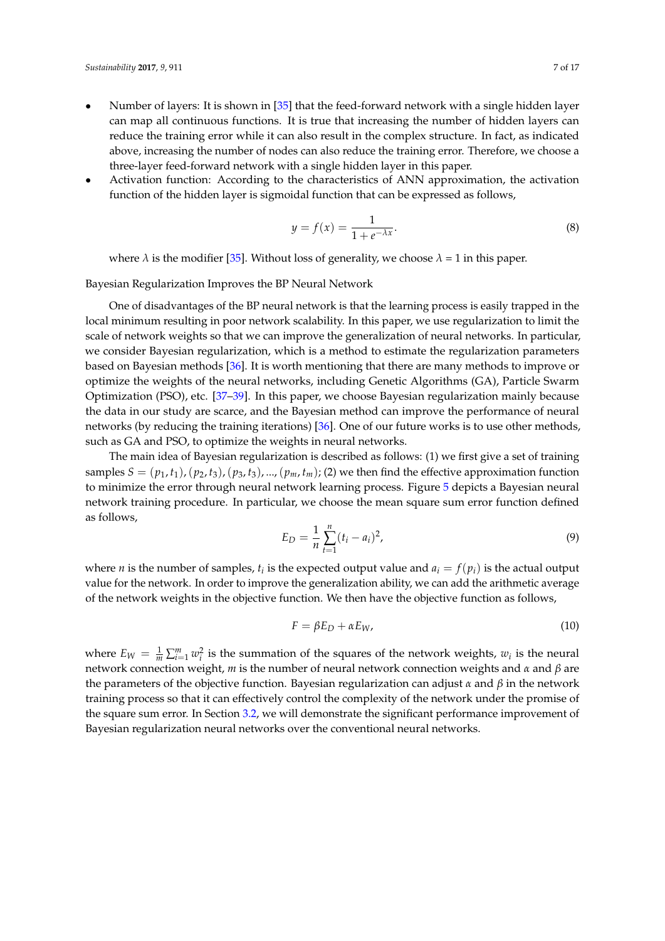- Number of layers: It is shown in [\[35\]](#page-15-22) that the feed-forward network with a single hidden layer can map all continuous functions. It is true that increasing the number of hidden layers can reduce the training error while it can also result in the complex structure. In fact, as indicated above, increasing the number of nodes can also reduce the training error. Therefore, we choose a three-layer feed-forward network with a single hidden layer in this paper.
- Activation function: According to the characteristics of ANN approximation, the activation function of the hidden layer is sigmoidal function that can be expressed as follows,

$$
y = f(x) = \frac{1}{1 + e^{-\lambda x}}.\tag{8}
$$

where  $\lambda$  is the modifier [\[35\]](#page-15-22). Without loss of generality, we choose  $\lambda = 1$  in this paper.

Bayesian Regularization Improves the BP Neural Network

One of disadvantages of the BP neural network is that the learning process is easily trapped in the local minimum resulting in poor network scalability. In this paper, we use regularization to limit the scale of network weights so that we can improve the generalization of neural networks. In particular, we consider Bayesian regularization, which is a method to estimate the regularization parameters based on Bayesian methods [\[36\]](#page-16-0). It is worth mentioning that there are many methods to improve or optimize the weights of the neural networks, including Genetic Algorithms (GA), Particle Swarm Optimization (PSO), etc. [\[37](#page-16-1)[–39\]](#page-16-2). In this paper, we choose Bayesian regularization mainly because the data in our study are scarce, and the Bayesian method can improve the performance of neural networks (by reducing the training iterations) [\[36\]](#page-16-0). One of our future works is to use other methods, such as GA and PSO, to optimize the weights in neural networks.

The main idea of Bayesian regularization is described as follows: (1) we first give a set of training samples  $S = (p_1, t_1)$ ,  $(p_2, t_3)$ ,  $(p_3, t_3)$ , ...,  $(p_m, t_m)$ ; (2) we then find the effective approximation function to minimize the error through neural network learning process. Figure [5](#page-7-2) depicts a Bayesian neural network training procedure. In particular, we choose the mean square sum error function defined as follows,

$$
E_D = \frac{1}{n} \sum_{t=1}^{n} (t_i - a_i)^2,
$$
\n(9)

where *n* is the number of samples,  $t_i$  is the expected output value and  $a_i = f(p_i)$  is the actual output value for the network. In order to improve the generalization ability, we can add the arithmetic average of the network weights in the objective function. We then have the objective function as follows,

$$
F = \beta E_D + \alpha E_W,\tag{10}
$$

where  $E_W = \frac{1}{m} \sum_{i=1}^m w_i^2$  is the summation of the squares of the network weights,  $w_i$  is the neural network connection weight, *m* is the number of neural network connection weights and *α* and *β* are the parameters of the objective function. Bayesian regularization can adjust *α* and *β* in the network training process so that it can effectively control the complexity of the network under the promise of the square sum error. In Section [3.2,](#page-9-0) we will demonstrate the significant performance improvement of Bayesian regularization neural networks over the conventional neural networks.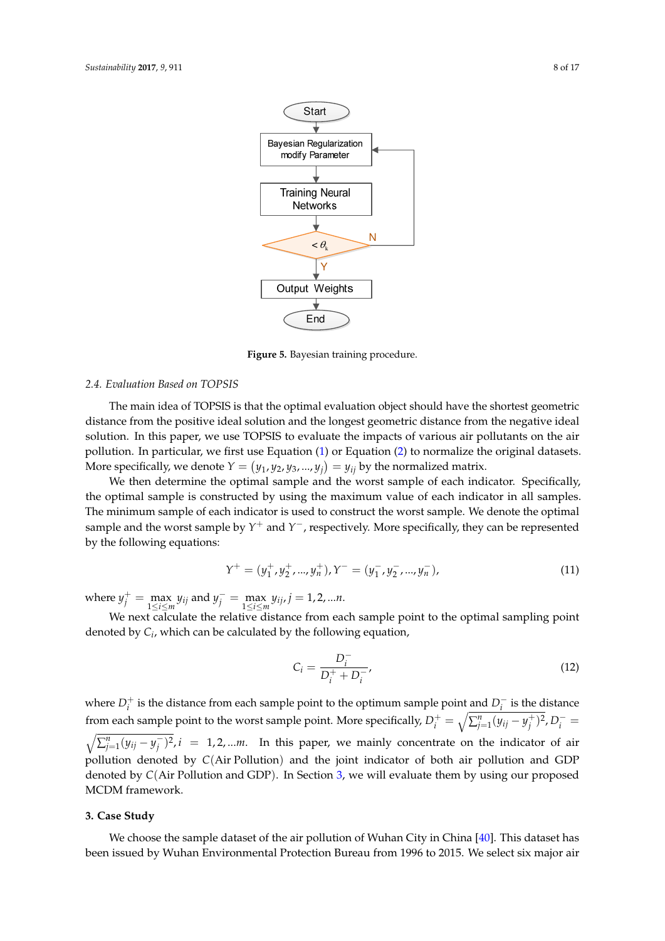<span id="page-7-2"></span>

**Figure 5.** Bayesian training procedure.

## <span id="page-7-1"></span>*2.4. Evaluation Based on TOPSIS*

The main idea of TOPSIS is that the optimal evaluation object should have the shortest geometric distance from the positive ideal solution and the longest geometric distance from the negative ideal solution. In this paper, we use TOPSIS to evaluate the impacts of various air pollutants on the air pollution. In particular, we first use Equation [\(1\)](#page-2-4) or Equation [\(2\)](#page-2-5) to normalize the original datasets. More specifically, we denote  $Y = (y_1, y_2, y_3, ..., y_j) = y_{ij}$  by the normalized matrix.

We then determine the optimal sample and the worst sample of each indicator. Specifically, the optimal sample is constructed by using the maximum value of each indicator in all samples. The minimum sample of each indicator is used to construct the worst sample. We denote the optimal sample and the worst sample by *Y* <sup>+</sup> and *Y* <sup>−</sup>, respectively. More specifically, they can be represented by the following equations:

$$
Y^{+} = (y_1^{+}, y_2^{+}, ..., y_n^{+}), Y^{-} = (y_1^{-}, y_2^{-}, ..., y_n^{-}),
$$
\n(11)

where  $y_j^+ = \max_{1 \le i \le m} y_{ij}$  and  $y_j^- = \max_{1 \le i \le m} y_{ij}$ ,  $j = 1, 2, ...n$ .

We next calculate the relative distance from each sample point to the optimal sampling point denoted by *C<sup>i</sup>* , which can be calculated by the following equation,

<span id="page-7-3"></span>
$$
C_i = \frac{D_i^-}{D_i^+ + D_i^-},\tag{12}
$$

where  $D_i^+$  is the distance from each sample point to the optimum sample point and  $D_i^ \int_{i}^{-}$  is the distance from each sample point to the worst sample point. More specifically,  $D_i^+ = \sqrt{\sum_{j=1}^n (y_{ij} - y_j^+)^2}$ ,  $D_i^- =$  $\sqrt{\sum_{j=1}^{n}(y_{ij}-y_j)}$  $j^{\text{-}}$ ,  $j^{\text{-}}$ , *i* = 1, 2, ...*m*. In this paper, we mainly concentrate on the indicator of air pollution denoted by *C*(Air Pollution) and the joint indicator of both air pollution and GDP denoted by *C*(Air Pollution and GDP). In Section [3,](#page-7-0) we will evaluate them by using our proposed MCDM framework.

#### <span id="page-7-0"></span>**3. Case Study**

We choose the sample dataset of the air pollution of Wuhan City in China [\[40\]](#page-16-3). This dataset has been issued by Wuhan Environmental Protection Bureau from 1996 to 2015. We select six major air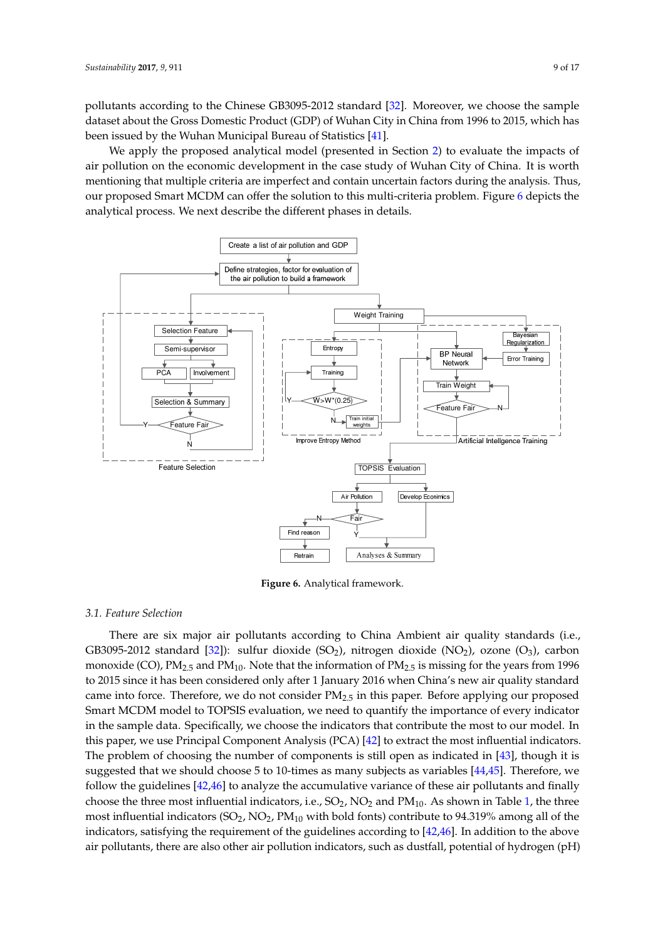pollutants according to the Chinese GB3095-2012 standard [\[32\]](#page-15-19). Moreover, we choose the sample dataset about the Gross Domestic Product (GDP) of Wuhan City in China from 1996 to 2015, which has been issued by the Wuhan Municipal Bureau of Statistics [\[41\]](#page-16-4).

We apply the proposed analytical model (presented in Section [2\)](#page-2-0) to evaluate the impacts of air pollution on the economic development in the case study of Wuhan City of China. It is worth mentioning that multiple criteria are imperfect and contain uncertain factors during the analysis. Thus, our proposed Smart MCDM can offer the solution to this multi-criteria problem. Figure [6](#page-8-0) depicts the analytical process. We next describe the different phases in details.

<span id="page-8-0"></span>

**Figure 6.** Analytical framework.

#### *3.1. Feature Selection*

There are six major air pollutants according to China Ambient air quality standards (i.e., GB3095-2012 standard [\[32\]](#page-15-19)): sulfur dioxide (SO<sub>2</sub>), nitrogen dioxide (NO<sub>2</sub>), ozone (O<sub>3</sub>), carbon monoxide (CO),  $PM_{2.5}$  and  $PM_{10}$ . Note that the information of  $PM_{2.5}$  is missing for the years from 1996 to 2015 since it has been considered only after 1 January 2016 when China's new air quality standard came into force. Therefore, we do not consider  $PM_{2.5}$  in this paper. Before applying our proposed Smart MCDM model to TOPSIS evaluation, we need to quantify the importance of every indicator in the sample data. Specifically, we choose the indicators that contribute the most to our model. In this paper, we use Principal Component Analysis (PCA) [\[42\]](#page-16-5) to extract the most influential indicators. The problem of choosing the number of components is still open as indicated in [\[43\]](#page-16-6), though it is suggested that we should choose 5 to 10-times as many subjects as variables [\[44](#page-16-7)[,45\]](#page-16-8). Therefore, we follow the guidelines [\[42](#page-16-5)[,46\]](#page-16-9) to analyze the accumulative variance of these air pollutants and finally choose the three most influential indicators, i.e.,  $SO_2$ ,  $NO_2$  and  $PM_{10}$ . As shown in Table [1,](#page-9-1) the three most influential indicators  $(SO_2, NO_2, PM_{10}$  with bold fonts) contribute to 94.319% among all of the indicators, satisfying the requirement of the guidelines according to [\[42](#page-16-5)[,46\]](#page-16-9). In addition to the above air pollutants, there are also other air pollution indicators, such as dustfall, potential of hydrogen (pH)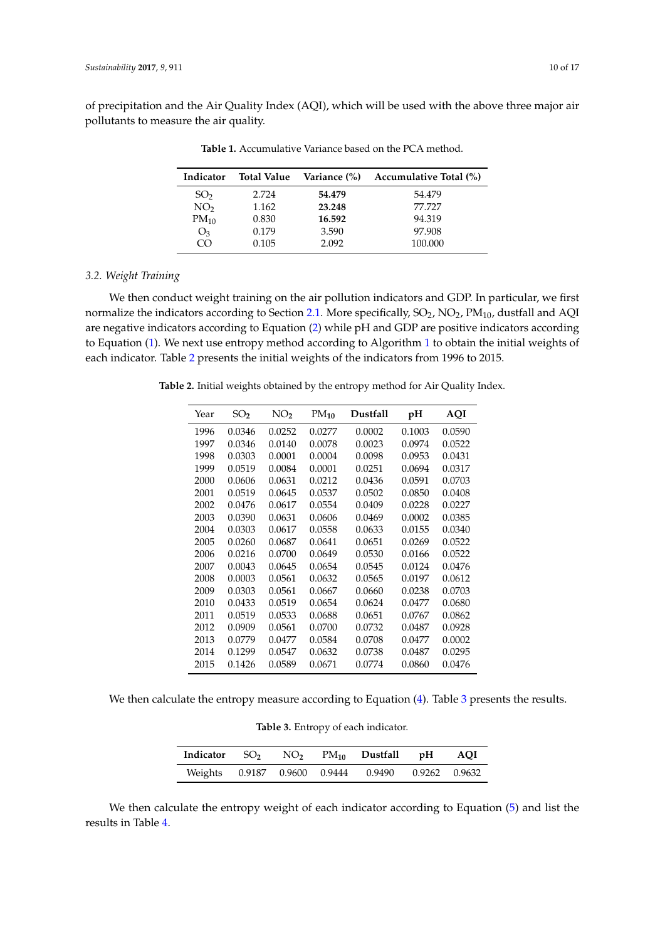<span id="page-9-1"></span>of precipitation and the Air Quality Index (AQI), which will be used with the above three major air pollutants to measure the air quality.

| Indicator       | <b>Total Value</b> |        | Variance (%) Accumulative Total (%) |
|-----------------|--------------------|--------|-------------------------------------|
| SO <sub>2</sub> | 2.724              | 54.479 | 54.479                              |
| NO <sub>2</sub> | 1.162              | 23.248 | 77.727                              |
| $PM_{10}$       | 0.830              | 16.592 | 94.319                              |
| $O_3$           | 0.179              | 3.590  | 97.908                              |
| $\overline{C}$  | 0.105              | 2.092  | 100.000                             |

**Table 1.** Accumulative Variance based on the PCA method.

## <span id="page-9-0"></span>*3.2. Weight Training*

We then conduct weight training on the air pollution indicators and GDP. In particular, we first normalize the indicators according to Section [2.1.](#page-2-2) More specifically,  $SO_2$ ,  $NO_2$ ,  $PM_{10}$ , dustfall and AQI are negative indicators according to Equation [\(2\)](#page-2-5) while pH and GDP are positive indicators according to Equation [\(1\)](#page-2-4). We next use entropy method according to Algorithm [1](#page-4-1) to obtain the initial weights of each indicator. Table [2](#page-9-2) presents the initial weights of the indicators from 1996 to 2015.

<span id="page-9-2"></span>**Table 2.** Initial weights obtained by the entropy method for Air Quality Index.

| Year | SO <sub>2</sub> | NO,    | $PM_{10}$ | <b>Dustfall</b> | pH     | AQI    |
|------|-----------------|--------|-----------|-----------------|--------|--------|
| 1996 | 0.0346          | 0.0252 | 0.0277    | 0.0002          | 0.1003 | 0.0590 |
| 1997 | 0.0346          | 0.0140 | 0.0078    | 0.0023          | 0.0974 | 0.0522 |
| 1998 | 0.0303          | 0.0001 | 0.0004    | 0.0098          | 0.0953 | 0.0431 |
| 1999 | 0.0519          | 0.0084 | 0.0001    | 0.0251          | 0.0694 | 0.0317 |
| 2000 | 0.0606          | 0.0631 | 0.0212    | 0.0436          | 0.0591 | 0.0703 |
| 2001 | 0.0519          | 0.0645 | 0.0537    | 0.0502          | 0.0850 | 0.0408 |
| 2002 | 0.0476          | 0.0617 | 0.0554    | 0.0409          | 0.0228 | 0.0227 |
| 2003 | 0.0390          | 0.0631 | 0.0606    | 0.0469          | 0.0002 | 0.0385 |
| 2004 | 0.0303          | 0.0617 | 0.0558    | 0.0633          | 0.0155 | 0.0340 |
| 2005 | 0.0260          | 0.0687 | 0.0641    | 0.0651          | 0.0269 | 0.0522 |
| 2006 | 0.0216          | 0.0700 | 0.0649    | 0.0530          | 0.0166 | 0.0522 |
| 2007 | 0.0043          | 0.0645 | 0.0654    | 0.0545          | 0.0124 | 0.0476 |
| 2008 | 0.0003          | 0.0561 | 0.0632    | 0.0565          | 0.0197 | 0.0612 |
| 2009 | 0.0303          | 0.0561 | 0.0667    | 0.0660          | 0.0238 | 0.0703 |
| 2010 | 0.0433          | 0.0519 | 0.0654    | 0.0624          | 0.0477 | 0.0680 |
| 2011 | 0.0519          | 0.0533 | 0.0688    | 0.0651          | 0.0767 | 0.0862 |
| 2012 | 0.0909          | 0.0561 | 0.0700    | 0.0732          | 0.0487 | 0.0928 |
| 2013 | 0.0779          | 0.0477 | 0.0584    | 0.0708          | 0.0477 | 0.0002 |
| 2014 | 0.1299          | 0.0547 | 0.0632    | 0.0738          | 0.0487 | 0.0295 |
| 2015 | 0.1426          | 0.0589 | 0.0671    | 0.0774          | 0.0860 | 0.0476 |

<span id="page-9-3"></span>We then calculate the entropy measure according to Equation [\(4\)](#page-4-2). Table [3](#page-9-3) presents the results.

|  |  |  | Table 3. Entropy of each indicator. |
|--|--|--|-------------------------------------|
|--|--|--|-------------------------------------|

|  |  | Indicator $SO_2$ $NO_2$ $PM_{10}$ Dustfall pH AQI |  |
|--|--|---------------------------------------------------|--|
|  |  | Weights 0.9187 0.9600 0.9444 0.9490 0.9262 0.9632 |  |

We then calculate the entropy weight of each indicator according to Equation [\(5\)](#page-4-4) and list the results in Table [4.](#page-10-0)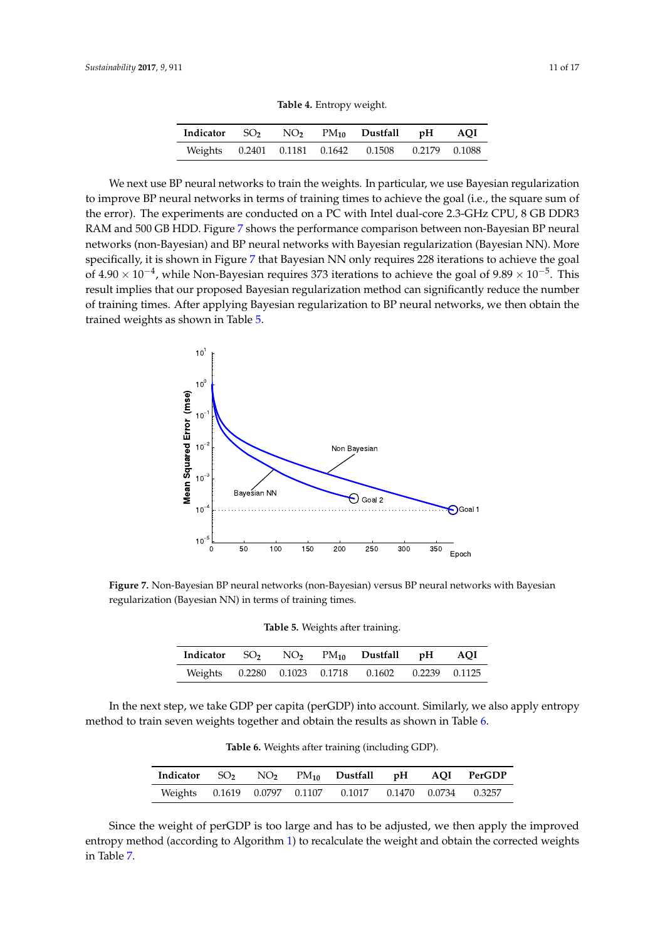**Table 4.** Entropy weight.

| Indicator $SO_2$ $NO_2$ $PM_{10}$ Dustfall pH AQI |  |                                                   |  |
|---------------------------------------------------|--|---------------------------------------------------|--|
|                                                   |  | Weights 0.2401 0.1181 0.1642 0.1508 0.2179 0.1088 |  |

<span id="page-10-0"></span>We next use BP neural networks to train the weights. In particular, we use Bayesian regularization to improve BP neural networks in terms of training times to achieve the goal (i.e., the square sum of the error). The experiments are conducted on a PC with Intel dual-core 2.3-GHz CPU, 8 GB DDR3 RAM and 500 GB HDD. Figure [7](#page-10-1) shows the performance comparison between non-Bayesian BP neural networks (non-Bayesian) and BP neural networks with Bayesian regularization (Bayesian NN). More specifically, it is shown in Figure [7](#page-10-1) that Bayesian NN only requires 228 iterations to achieve the goal of 4.90  $\times$  10<sup>-4</sup>, while Non-Bayesian requires 373 iterations to achieve the goal of 9.89  $\times$  10<sup>-5</sup>. This result implies that our proposed Bayesian regularization method can significantly reduce the number of training times. After applying Bayesian regularization to BP neural networks, we then obtain the trained weights as shown in Table 5.

<span id="page-10-1"></span>

<span id="page-10-2"></span>**Figure 7.** Non-Bayesian BP neural networks (non-Bayesian) versus BP neural networks with Bayesian regularization (Bayesian NN) in terms of training times.

| Indicator $SO_2$ $NO_2$ $PM_{10}$ Dustfall pH AQI |  |                                                   |  |
|---------------------------------------------------|--|---------------------------------------------------|--|
|                                                   |  | Weights 0.2280 0.1023 0.1718 0.1602 0.2239 0.1125 |  |

<span id="page-10-3"></span>In the next step, we take GDP per capita (perGDP) into account. Similarly, we also apply entropy method to train seven weights together and obtain the results as shown in Table [6.](#page-10-3)

**Table 6.** Weights after training (including GDP).

|  |  |                                                          |  | Indicator $SO_2$ $NO_2$ $PM_{10}$ Dustfall pH AQI PerGDP |
|--|--|----------------------------------------------------------|--|----------------------------------------------------------|
|  |  | Weights 0.1619 0.0797 0.1107 0.1017 0.1470 0.0734 0.3257 |  |                                                          |

Since the weight of perGDP is too large and has to be adjusted, we then apply the improved entropy method (according to Algorithm [1\)](#page-4-1) to recalculate the weight and obtain the corrected weights in Table [7.](#page-11-0)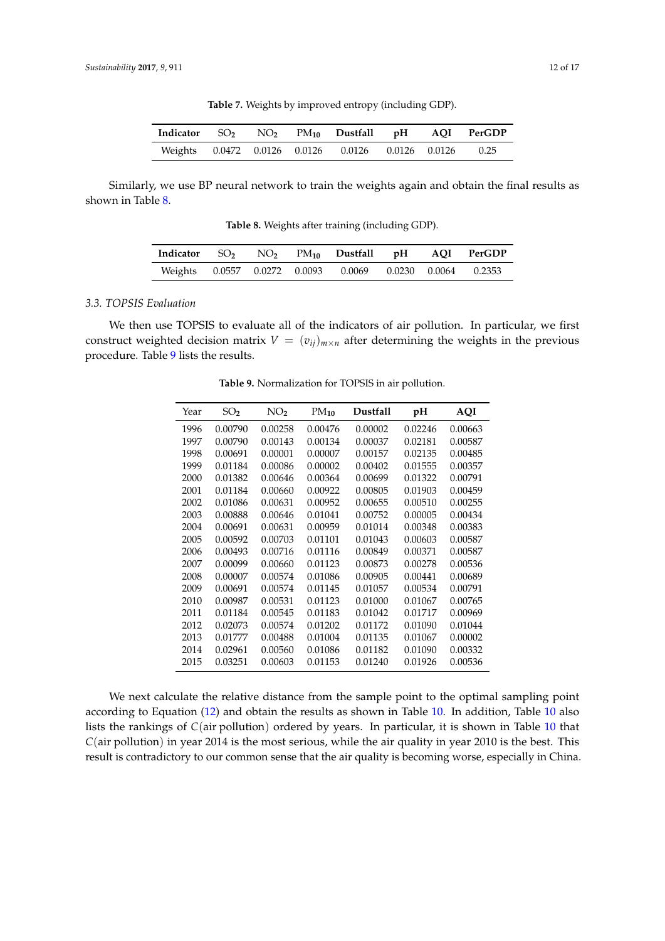**Table 7.** Weights by improved entropy (including GDP).

<span id="page-11-0"></span>

| Indicator $SO_2$ $NO_2$ $PM_{10}$ Dustfall pH AQI PerGDP |  |                                                        |  |  |
|----------------------------------------------------------|--|--------------------------------------------------------|--|--|
|                                                          |  | Weights 0.0472 0.0126 0.0126 0.0126 0.0126 0.0126 0.25 |  |  |

<span id="page-11-1"></span>Similarly, we use BP neural network to train the weights again and obtain the final results as shown in Table [8.](#page-11-1)

**Table 8.** Weights after training (including GDP).

|  |  | Indicator $SO_2$ $NO_2$ $PM_{10}$ Dustfall pH AQI PerGDP |  |  |
|--|--|----------------------------------------------------------|--|--|
|  |  | Weights 0.0557 0.0272 0.0093 0.0069 0.0230 0.0064 0.2353 |  |  |

#### *3.3. TOPSIS Evaluation*

<span id="page-11-2"></span>We then use TOPSIS to evaluate all of the indicators of air pollution. In particular, we first construct weighted decision matrix  $V = (v_{ij})_{m \times n}$  after determining the weights in the previous procedure. Table [9](#page-11-2) lists the results.

| Year | SO <sub>2</sub> | NO,     | $PM_{10}$ | <b>Dustfall</b> | pH      | AQI     |
|------|-----------------|---------|-----------|-----------------|---------|---------|
| 1996 | 0.00790         | 0.00258 | 0.00476   | 0.00002         | 0.02246 | 0.00663 |
| 1997 | 0.00790         | 0.00143 | 0.00134   | 0.00037         | 0.02181 | 0.00587 |
| 1998 | 0.00691         | 0.00001 | 0.00007   | 0.00157         | 0.02135 | 0.00485 |
| 1999 | 0.01184         | 0.00086 | 0.00002   | 0.00402         | 0.01555 | 0.00357 |
| 2000 | 0.01382         | 0.00646 | 0.00364   | 0.00699         | 0.01322 | 0.00791 |
| 2001 | 0.01184         | 0.00660 | 0.00922   | 0.00805         | 0.01903 | 0.00459 |
| 2002 | 0.01086         | 0.00631 | 0.00952   | 0.00655         | 0.00510 | 0.00255 |
| 2003 | 0.00888         | 0.00646 | 0.01041   | 0.00752         | 0.00005 | 0.00434 |
| 2004 | 0.00691         | 0.00631 | 0.00959   | 0.01014         | 0.00348 | 0.00383 |
| 2005 | 0.00592         | 0.00703 | 0.01101   | 0.01043         | 0.00603 | 0.00587 |
| 2006 | 0.00493         | 0.00716 | 0.01116   | 0.00849         | 0.00371 | 0.00587 |
| 2007 | 0.00099         | 0.00660 | 0.01123   | 0.00873         | 0.00278 | 0.00536 |
| 2008 | 0.00007         | 0.00574 | 0.01086   | 0.00905         | 0.00441 | 0.00689 |
| 2009 | 0.00691         | 0.00574 | 0.01145   | 0.01057         | 0.00534 | 0.00791 |
| 2010 | 0.00987         | 0.00531 | 0.01123   | 0.01000         | 0.01067 | 0.00765 |
| 2011 | 0.01184         | 0.00545 | 0.01183   | 0.01042         | 0.01717 | 0.00969 |
| 2012 | 0.02073         | 0.00574 | 0.01202   | 0.01172         | 0.01090 | 0.01044 |
| 2013 | 0.01777         | 0.00488 | 0.01004   | 0.01135         | 0.01067 | 0.00002 |
| 2014 | 0.02961         | 0.00560 | 0.01086   | 0.01182         | 0.01090 | 0.00332 |
| 2015 | 0.03251         | 0.00603 | 0.01153   | 0.01240         | 0.01926 | 0.00536 |

**Table 9.** Normalization for TOPSIS in air pollution.

We next calculate the relative distance from the sample point to the optimal sampling point according to Equation [\(12\)](#page-7-3) and obtain the results as shown in Table [10.](#page-12-0) In addition, Table [10](#page-12-0) also lists the rankings of *C*(air pollution) ordered by years. In particular, it is shown in Table [10](#page-12-0) that *C*(air pollution) in year 2014 is the most serious, while the air quality in year 2010 is the best. This result is contradictory to our common sense that the air quality is becoming worse, especially in China.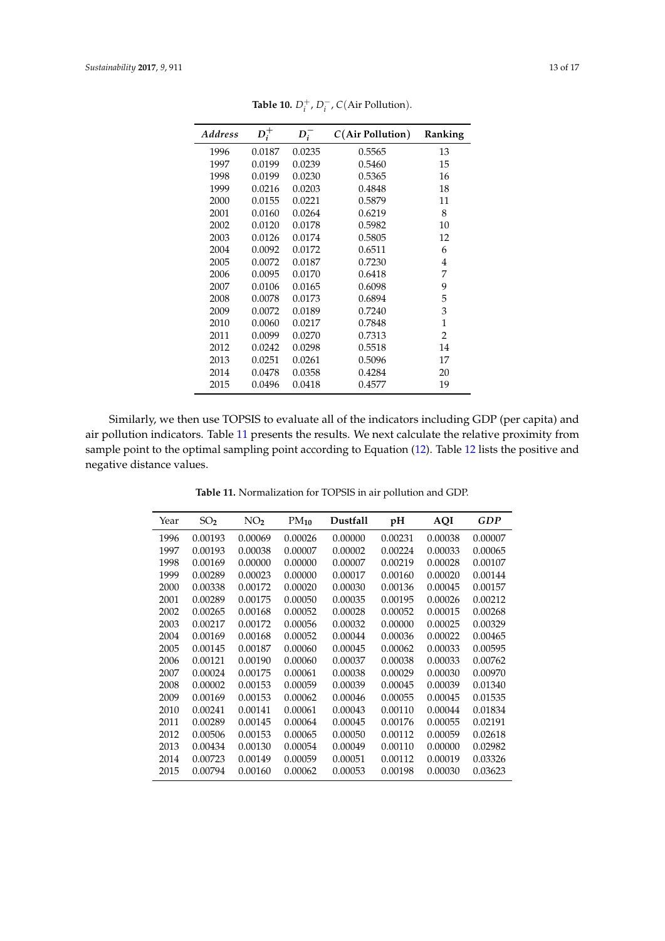<span id="page-12-0"></span>

| <b>Address</b> | $D_i^+$ | $D_i^-$ | $C(Air$ Pollution) | Ranking |
|----------------|---------|---------|--------------------|---------|
| 1996           | 0.0187  | 0.0235  | 0.5565             | 13      |
| 1997           | 0.0199  | 0.0239  | 0.5460             | 15      |
| 1998           | 0.0199  | 0.0230  | 0.5365             | 16      |
| 1999           | 0.0216  | 0.0203  | 0.4848             | 18      |
| 2000           | 0.0155  | 0.0221  | 0.5879             | 11      |
| 2001           | 0.0160  | 0.0264  | 0.6219             | 8       |
| 2002           | 0.0120  | 0.0178  | 0.5982             | 10      |
| 2003           | 0.0126  | 0.0174  | 0.5805             | 12      |
| 2004           | 0.0092  | 0.0172  | 0.6511             | 6       |
| 2005           | 0.0072  | 0.0187  | 0.7230             | 4       |
| 2006           | 0.0095  | 0.0170  | 0.6418             | 7       |
| 2007           | 0.0106  | 0.0165  | 0.6098             | 9       |
| 2008           | 0.0078  | 0.0173  | 0.6894             | 5       |
| 2009           | 0.0072  | 0.0189  | 0.7240             | 3       |
| 2010           | 0.0060  | 0.0217  | 0.7848             | 1       |
| 2011           | 0.0099  | 0.0270  | 0.7313             | 2       |
| 2012           | 0.0242  | 0.0298  | 0.5518             | 14      |
| 2013           | 0.0251  | 0.0261  | 0.5096             | 17      |
| 2014           | 0.0478  | 0.0358  | 0.4284             | 20      |
| 2015           | 0.0496  | 0.0418  | 0.4577             | 19      |

**Table 10.**  $D_i^+$ ,  $D_i^-$ ,  $C(Air$  Pollution).

<span id="page-12-1"></span>Similarly, we then use TOPSIS to evaluate all of the indicators including GDP (per capita) and air pollution indicators. Table [11](#page-12-1) presents the results. We next calculate the relative proximity from sample point to the optimal sampling point according to Equation [\(12\)](#page-7-3). Table [12](#page-13-0) lists the positive and negative distance values.

| Year | SO <sub>2</sub> | NO <sub>2</sub> | $PM_{10}$ | Dustfall | pH      | <b>AQI</b> | <b>GDP</b> |
|------|-----------------|-----------------|-----------|----------|---------|------------|------------|
| 1996 | 0.00193         | 0.00069         | 0.00026   | 0.00000  | 0.00231 | 0.00038    | 0.00007    |
| 1997 | 0.00193         | 0.00038         | 0.00007   | 0.00002  | 0.00224 | 0.00033    | 0.00065    |
| 1998 | 0.00169         | 0.00000         | 0.00000   | 0.00007  | 0.00219 | 0.00028    | 0.00107    |
| 1999 | 0.00289         | 0.00023         | 0.00000   | 0.00017  | 0.00160 | 0.00020    | 0.00144    |
| 2000 | 0.00338         | 0.00172         | 0.00020   | 0.00030  | 0.00136 | 0.00045    | 0.00157    |
| 2001 | 0.00289         | 0.00175         | 0.00050   | 0.00035  | 0.00195 | 0.00026    | 0.00212    |
| 2002 | 0.00265         | 0.00168         | 0.00052   | 0.00028  | 0.00052 | 0.00015    | 0.00268    |
| 2003 | 0.00217         | 0.00172         | 0.00056   | 0.00032  | 0.00000 | 0.00025    | 0.00329    |
| 2004 | 0.00169         | 0.00168         | 0.00052   | 0.00044  | 0.00036 | 0.00022    | 0.00465    |
| 2005 | 0.00145         | 0.00187         | 0.00060   | 0.00045  | 0.00062 | 0.00033    | 0.00595    |
| 2006 | 0.00121         | 0.00190         | 0.00060   | 0.00037  | 0.00038 | 0.00033    | 0.00762    |
| 2007 | 0.00024         | 0.00175         | 0.00061   | 0.00038  | 0.00029 | 0.00030    | 0.00970    |
| 2008 | 0.00002         | 0.00153         | 0.00059   | 0.00039  | 0.00045 | 0.00039    | 0.01340    |
| 2009 | 0.00169         | 0.00153         | 0.00062   | 0.00046  | 0.00055 | 0.00045    | 0.01535    |
| 2010 | 0.00241         | 0.00141         | 0.00061   | 0.00043  | 0.00110 | 0.00044    | 0.01834    |
| 2011 | 0.00289         | 0.00145         | 0.00064   | 0.00045  | 0.00176 | 0.00055    | 0.02191    |
| 2012 | 0.00506         | 0.00153         | 0.00065   | 0.00050  | 0.00112 | 0.00059    | 0.02618    |
| 2013 | 0.00434         | 0.00130         | 0.00054   | 0.00049  | 0.00110 | 0.00000    | 0.02982    |
| 2014 | 0.00723         | 0.00149         | 0.00059   | 0.00051  | 0.00112 | 0.00019    | 0.03326    |
| 2015 | 0.00794         | 0.00160         | 0.00062   | 0.00053  | 0.00198 | 0.00030    | 0.03623    |

**Table 11.** Normalization for TOPSIS in air pollution and GDP.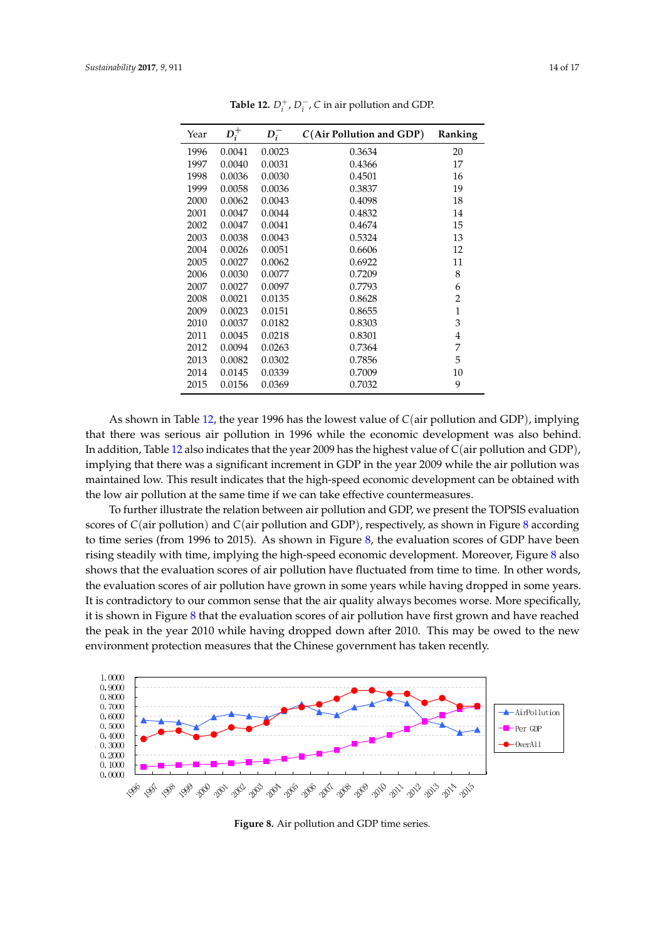<span id="page-13-0"></span>

| Year | $D_i^+$ | $D_i^-$ | $C(Air$ Pollution and GDP) | Ranking        |
|------|---------|---------|----------------------------|----------------|
| 1996 | 0.0041  | 0.0023  | 0.3634                     | 20             |
| 1997 | 0.0040  | 0.0031  | 0.4366                     | 17             |
| 1998 | 0.0036  | 0.0030  | 0.4501                     | 16             |
| 1999 | 0.0058  | 0.0036  | 0.3837                     | 19             |
| 2000 | 0.0062  | 0.0043  | 0.4098                     | 18             |
| 2001 | 0.0047  | 0.0044  | 0.4832                     | 14             |
| 2002 | 0.0047  | 0.0041  | 0.4674                     | 15             |
| 2003 | 0.0038  | 0.0043  | 0.5324                     | 13             |
| 2004 | 0.0026  | 0.0051  | 0.6606                     | 12             |
| 2005 | 0.0027  | 0.0062  | 0.6922                     | 11             |
| 2006 | 0.0030  | 0.0077  | 0.7209                     | 8              |
| 2007 | 0.0027  | 0.0097  | 0.7793                     | 6              |
| 2008 | 0.0021  | 0.0135  | 0.8628                     | $\overline{2}$ |
| 2009 | 0.0023  | 0.0151  | 0.8655                     | $\mathbf{1}$   |
| 2010 | 0.0037  | 0.0182  | 0.8303                     | 3              |
| 2011 | 0.0045  | 0.0218  | 0.8301                     | 4              |
| 2012 | 0.0094  | 0.0263  | 0.7364                     | 7              |
| 2013 | 0.0082  | 0.0302  | 0.7856                     | 5              |
| 2014 | 0.0145  | 0.0339  | 0.7009                     | 10             |
| 2015 | 0.0156  | 0.0369  | 0.7032                     | 9              |

**Table 12.**  $D_i^+$ ,  $D_i^-$ , C in air pollution and GDP.

As shown in Table [12,](#page-13-0) the year 1996 has the lowest value of *C*(air pollution and GDP), implying that there was serious air pollution in 1996 while the economic development was also behind. In addition, Table [12](#page-13-0) also indicates that the year 2009 has the highest value of *C*(air pollution and GDP), implying that there was a significant increment in GDP in the year 2009 while the air pollution was maintained low. This result indicates that the high-speed economic development can be obtained with the low air pollution at the same time if we can take effective countermeasures.

To further illustrate the relation between air pollution and GDP, we present the TOPSIS evaluation scores of *C*(air pollution) and *C*(air pollution and GDP), respectively, as shown in Figure [8](#page-13-1) according to time series (from 1996 to 2015). As shown in Figure [8,](#page-13-1) the evaluation scores of GDP have been rising steadily with time, implying the high-speed economic development. Moreover, Figure [8](#page-13-1) also shows that the evaluation scores of air pollution have fluctuated from time to time. In other words, the evaluation scores of air pollution have grown in some years while having dropped in some years. It is contradictory to our common sense that the air quality always becomes worse. More specifically, it is shown in Figure [8](#page-13-1) that the evaluation scores of air pollution have first grown and have reached the peak in the year 2010 while having dropped down after 2010. This may be owed to the new environment protection measures that the Chinese government has taken recently.

<span id="page-13-1"></span>

**Figure 8.** Air pollution and GDP time series.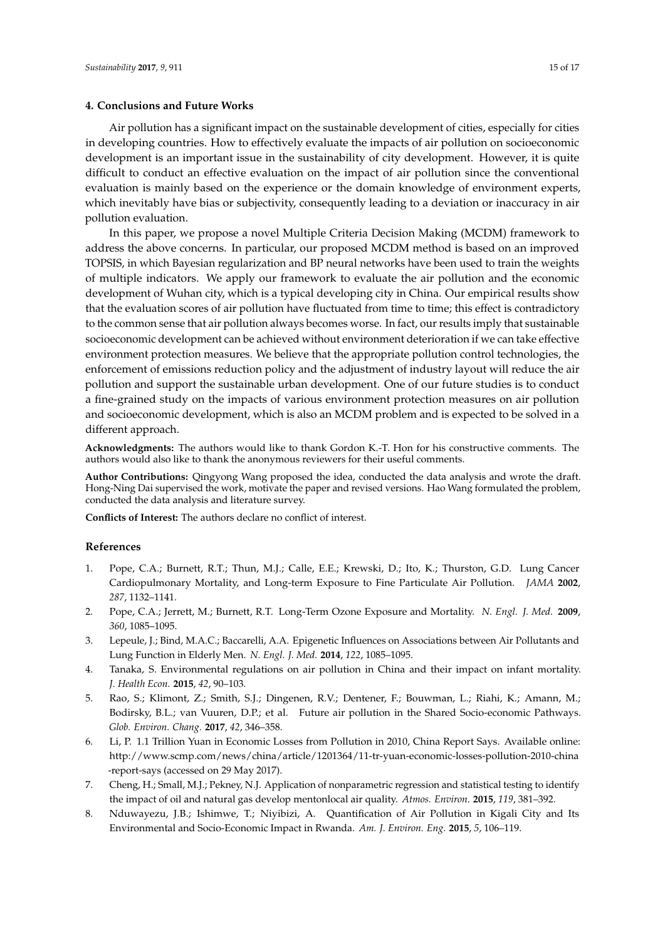#### <span id="page-14-5"></span>**4. Conclusions and Future Works**

Air pollution has a significant impact on the sustainable development of cities, especially for cities in developing countries. How to effectively evaluate the impacts of air pollution on socioeconomic development is an important issue in the sustainability of city development. However, it is quite difficult to conduct an effective evaluation on the impact of air pollution since the conventional evaluation is mainly based on the experience or the domain knowledge of environment experts, which inevitably have bias or subjectivity, consequently leading to a deviation or inaccuracy in air pollution evaluation.

In this paper, we propose a novel Multiple Criteria Decision Making (MCDM) framework to address the above concerns. In particular, our proposed MCDM method is based on an improved TOPSIS, in which Bayesian regularization and BP neural networks have been used to train the weights of multiple indicators. We apply our framework to evaluate the air pollution and the economic development of Wuhan city, which is a typical developing city in China. Our empirical results show that the evaluation scores of air pollution have fluctuated from time to time; this effect is contradictory to the common sense that air pollution always becomes worse. In fact, our results imply that sustainable socioeconomic development can be achieved without environment deterioration if we can take effective environment protection measures. We believe that the appropriate pollution control technologies, the enforcement of emissions reduction policy and the adjustment of industry layout will reduce the air pollution and support the sustainable urban development. One of our future studies is to conduct a fine-grained study on the impacts of various environment protection measures on air pollution and socioeconomic development, which is also an MCDM problem and is expected to be solved in a different approach.

**Acknowledgments:** The authors would like to thank Gordon K.-T. Hon for his constructive comments. The authors would also like to thank the anonymous reviewers for their useful comments.

**Author Contributions:** Qingyong Wang proposed the idea, conducted the data analysis and wrote the draft. Hong-Ning Dai supervised the work, motivate the paper and revised versions. Hao Wang formulated the problem, conducted the data analysis and literature survey.

**Conflicts of Interest:** The authors declare no conflict of interest.

#### **References**

- <span id="page-14-0"></span>1. Pope, C.A.; Burnett, R.T.; Thun, M.J.; Calle, E.E.; Krewski, D.; Ito, K.; Thurston, G.D. Lung Cancer Cardiopulmonary Mortality, and Long-term Exposure to Fine Particulate Air Pollution. *JAMA* **2002**, *287*, 1132–1141.
- 2. Pope, C.A.; Jerrett, M.; Burnett, R.T. Long-Term Ozone Exposure and Mortality. *N. Engl. J. Med.* **2009**, *360*, 1085–1095.
- 3. Lepeule, J.; Bind, M.A.C.; Baccarelli, A.A. Epigenetic Influences on Associations between Air Pollutants and Lung Function in Elderly Men. *N. Engl. J. Med.* **2014**, *122*, 1085–1095.
- <span id="page-14-1"></span>4. Tanaka, S. Environmental regulations on air pollution in China and their impact on infant mortality. *J. Health Econ.* **2015**, *42*, 90–103.
- <span id="page-14-2"></span>5. Rao, S.; Klimont, Z.; Smith, S.J.; Dingenen, R.V.; Dentener, F.; Bouwman, L.; Riahi, K.; Amann, M.; Bodirsky, B.L.; van Vuuren, D.P.; et al. Future air pollution in the Shared Socio-economic Pathways. *Glob. Environ. Chang.* **2017**, *42*, 346–358.
- <span id="page-14-3"></span>6. Li, P. 1.1 Trillion Yuan in Economic Losses from Pollution in 2010, China Report Says. Available online: http://www.scmp.com/news/china/article/1201364/11-tr-yuan-economic-losses-pollution-2010-china -report-says (accessed on 29 May 2017).
- <span id="page-14-4"></span>7. Cheng, H.; Small, M.J.; Pekney, N.J. Application of nonparametric regression and statistical testing to identify the impact of oil and natural gas develop mentonlocal air quality. *Atmos. Environ.* **2015**, *119*, 381–392.
- 8. Nduwayezu, J.B.; Ishimwe, T.; Niyibizi, A. Quantification of Air Pollution in Kigali City and Its Environmental and Socio-Economic Impact in Rwanda. *Am. J. Environ. Eng.* **2015**, *5*, 106–119.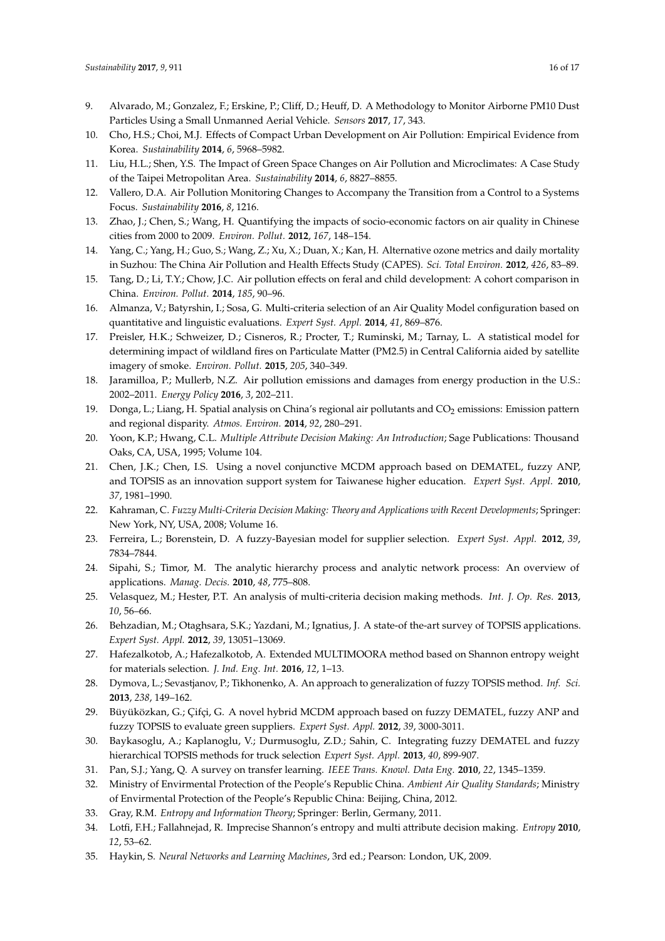- <span id="page-15-0"></span>9. Alvarado, M.; Gonzalez, F.; Erskine, P.; Cliff, D.; Heuff, D. A Methodology to Monitor Airborne PM10 Dust Particles Using a Small Unmanned Aerial Vehicle. *Sensors* **2017**, *17*, 343.
- <span id="page-15-1"></span>10. Cho, H.S.; Choi, M.J. Effects of Compact Urban Development on Air Pollution: Empirical Evidence from Korea. *Sustainability* **2014**, *6*, 5968–5982.
- <span id="page-15-2"></span>11. Liu, H.L.; Shen, Y.S. The Impact of Green Space Changes on Air Pollution and Microclimates: A Case Study of the Taipei Metropolitan Area. *Sustainability* **2014**, *6*, 8827–8855.
- <span id="page-15-3"></span>12. Vallero, D.A. Air Pollution Monitoring Changes to Accompany the Transition from a Control to a Systems Focus. *Sustainability* **2016**, *8*, 1216.
- <span id="page-15-4"></span>13. Zhao, J.; Chen, S.; Wang, H. Quantifying the impacts of socio-economic factors on air quality in Chinese cities from 2000 to 2009. *Environ. Pollut.* **2012**, *167*, 148–154.
- 14. Yang, C.; Yang, H.; Guo, S.; Wang, Z.; Xu, X.; Duan, X.; Kan, H. Alternative ozone metrics and daily mortality in Suzhou: The China Air Pollution and Health Effects Study (CAPES). *Sci. Total Environ.* **2012**, *426*, 83–89.
- 15. Tang, D.; Li, T.Y.; Chow, J.C. Air pollution effects on feral and child development: A cohort comparison in China. *Environ. Pollut.* **2014**, *185*, 90–96.
- 16. Almanza, V.; Batyrshin, I.; Sosa, G. Multi-criteria selection of an Air Quality Model configuration based on quantitative and linguistic evaluations. *Expert Syst. Appl.* **2014**, *41*, 869–876.
- 17. Preisler, H.K.; Schweizer, D.; Cisneros, R.; Procter, T.; Ruminski, M.; Tarnay, L. A statistical model for determining impact of wildland fires on Particulate Matter (PM2.5) in Central California aided by satellite imagery of smoke. *Environ. Pollut.* **2015**, *205*, 340–349.
- <span id="page-15-5"></span>18. Jaramilloa, P.; Mullerb, N.Z. Air pollution emissions and damages from energy production in the U.S.: 2002–2011. *Energy Policy* **2016**, *3*, 202–211.
- <span id="page-15-6"></span>19. Donga, L.; Liang, H. Spatial analysis on China's regional air pollutants and CO<sub>2</sub> emissions: Emission pattern and regional disparity. *Atmos. Environ.* **2014**, *92*, 280–291.
- <span id="page-15-7"></span>20. Yoon, K.P.; Hwang, C.L. *Multiple Attribute Decision Making: An Introduction*; Sage Publications: Thousand Oaks, CA, USA, 1995; Volume 104.
- <span id="page-15-8"></span>21. Chen, J.K.; Chen, I.S. Using a novel conjunctive MCDM approach based on DEMATEL, fuzzy ANP, and TOPSIS as an innovation support system for Taiwanese higher education. *Expert Syst. Appl.* **2010**, *37*, 1981–1990.
- <span id="page-15-9"></span>22. Kahraman, C. *Fuzzy Multi-Criteria Decision Making: Theory and Applications with Recent Developments*; Springer: New York, NY, USA, 2008; Volume 16.
- <span id="page-15-10"></span>23. Ferreira, L.; Borenstein, D. A fuzzy-Bayesian model for supplier selection. *Expert Syst. Appl.* **2012**, *39*, 7834–7844.
- <span id="page-15-11"></span>24. Sipahi, S.; Timor, M. The analytic hierarchy process and analytic network process: An overview of applications. *Manag. Decis.* **2010**, *48*, 775–808.
- <span id="page-15-12"></span>25. Velasquez, M.; Hester, P.T. An analysis of multi-criteria decision making methods. *Int. J. Op. Res.* **2013**, *10*, 56–66.
- <span id="page-15-13"></span>26. Behzadian, M.; Otaghsara, S.K.; Yazdani, M.; Ignatius, J. A state-of the-art survey of TOPSIS applications. *Expert Syst. Appl.* **2012**, *39*, 13051–13069.
- <span id="page-15-14"></span>27. Hafezalkotob, A.; Hafezalkotob, A. Extended MULTIMOORA method based on Shannon entropy weight for materials selection. *J. Ind. Eng. Int.* **2016**, *12*, 1–13.
- <span id="page-15-15"></span>28. Dymova, L.; Sevastjanov, P.; Tikhonenko, A. An approach to generalization of fuzzy TOPSIS method. *Inf. Sci.* **2013**, *238*, 149–162.
- <span id="page-15-16"></span>29. Büyüközkan, G.; Çifçi, G. A novel hybrid MCDM approach based on fuzzy DEMATEL, fuzzy ANP and fuzzy TOPSIS to evaluate green suppliers. *Expert Syst. Appl.* **2012**, *39*, 3000-3011.
- <span id="page-15-17"></span>30. Baykasoglu, A.; Kaplanoglu, V.; Durmusoglu, Z.D.; Sahin, C. Integrating fuzzy DEMATEL and fuzzy hierarchical TOPSIS methods for truck selection *Expert Syst. Appl.* **2013**, *40*, 899-907.
- <span id="page-15-18"></span>31. Pan, S.J.; Yang, Q. A survey on transfer learning. *IEEE Trans. Knowl. Data Eng.* **2010**, *22*, 1345–1359.
- <span id="page-15-19"></span>32. Ministry of Envirmental Protection of the People's Republic China. *Ambient Air Quality Standards*; Ministry of Envirmental Protection of the People's Republic China: Beijing, China, 2012.
- <span id="page-15-20"></span>33. Gray, R.M. *Entropy and Information Theory*; Springer: Berlin, Germany, 2011.
- <span id="page-15-21"></span>34. Lotfi, F.H.; Fallahnejad, R. Imprecise Shannon's entropy and multi attribute decision making. *Entropy* **2010**, *12*, 53–62.
- <span id="page-15-22"></span>35. Haykin, S. *Neural Networks and Learning Machines*, 3rd ed.; Pearson: London, UK, 2009.